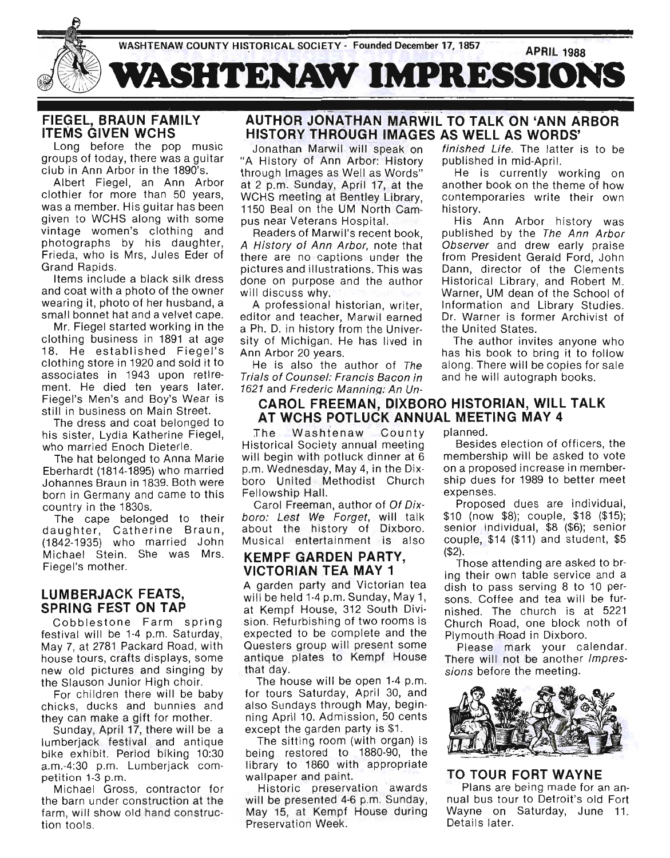

# FIEGEL, BRAUN FAMILY ITEMS GIVEN WCHS

Long before the pop music groups of today, there was a guitar club in Ann Arbor in the 1890's.

Albert Fiegel, an Ann Arbor clothier for more than 50 years, was a member. His guitar has been given to WCHS along with some vintage women's clothing and photographs by his daughter, Frieda, who is Mrs, Jules Eder of Grand Rapids.

Items include a black silk dress and coat with a photo of the owner wearing it, photo of her husband, a small bonnet hat and a velvet cape.

Mr. Fiegel started working in the clothing business in 1891 at age 18. He established Fiegel's clothing store in 1920 and sold it to associates in 1943 upon retirement. He died ten years later. Fiegel's Men's and Boy's Wear is still in business on Main Street.

The dress and coat belonged to his sister, Lydia Katherine Fiegel, who married Enoch Dieterle.

The hat belonged to Anna Marie Eberhardt (1814-1895) who married Johannes Braun in 1839. Both were born in Germany and came to this country in the 1830s.

The cape belonged to their daughter, Catherine Braun, (1842-1935) who married John Michael Stein. She was Mrs. Fiegel's mother.

# LUMBERJACK FEATS, SPRING FEST ON TAP

Cobblestone Farm spring festival will be 1-4 p.m. Saturday, May 7, at 2781 Packard Road, with house tours, crafts displays, some new old pictures and singing by the Slauson Junior High choir.

For children there will be baby chicks, ducks and bunnies and they can make a gift for mother.

Sunday, April 17, there will be a lumberjack festival and antique bike exhibit. Period biking 10:30 a.m.-4:30 p.m. Lumberjack competition 1-3 p.m.

Michael Gross, contractor for the barn under construction at the farm, will show old hand construction tools.

# AUTHOR JONATHAN MARWIL TO TALK ON 'ANN ARBOR HISTORY THROUGH IMAGES AS WELL AS WORDS'

Jonathan Marwil will speak on "A History of Ann Arbor: History through Images as Well as Words" at 2 p.m. Sunday, April 17, at the WCHS meeting at Bentley Library, 1150 Beal on the UM North Campus near Veterans Hospital.

Readers of Marwil's recent book, A History of Ann Arbor, note that there are no captions under the pictures and illustrations. This was done on purpose and the author will discuss why.

A professional historian, writer, editor and teacher, Marwil earned a Ph. D. in history from the University of Michigan. He has lived in Ann Arbor 20 years.

He is also the author of The Trials of Counsel: Francis Bacon in 1621 and Frederic Manning: An Un-

# CAROL FREEMAN, DIXBORO HISTORIAN, WILL TALK AT WCHS POTLUCK ANNUAL MEETING MAY 4

The Washtenaw County Historical Society annual meeting will begin with potluck dinner at 6 p.m. Wednesday, May 4, in the Dixboro United Methodist Church Fellowship Hall.

Carol Freeman, author of Of Dixboro: Lest We Forget, will talk about the history of Dixboro. Musical entertainment is also

# KEMPF GARDEN PARTY, VICTORIAN TEA MAY 1

A garden party and Victorian tea will be held 1-4 p.m. Sunday, May 1, at Kempf House, 312 South Division. Refurbishing of two rooms is expected to be complete and the Questers group will present some antique plates to Kempf House that day.

The house will be open 1-4 p.m. for tours Saturday, April 30, and also Sundays through May, beginning April 10. Admission, 50 cents except the garden party is \$1.

The sitting room (with organ) is being restored to 1880-90, the library to 1860 with appropriate wallpaper and paint.

Historic preservation awards will be presented 4-6 p.m. Sunday, May 15, at Kempf House during Preservation Week.

finished Life. The latter is to be published in mid-April.

He is currently working on another book on the theme of how contemporaries write their own history.

His Ann Arbor history was published by the The Ann Arbor Observer and drew early praise from President Gerald Ford, John Dann, director of the Clements Historical Library, and Robert M. Warner, UM dean of the School of Information and Library Studies. Dr. Warner is former Archivist of the United States.

The author invites anyone who has his book to bring it to follow along. There will be copies for sale and he will autograph books.

planned.

Besides election of officers, the membership will be asked to vote on a proposed increase in membership dues for 1989 to better meet expenses.

Proposed dues are individual, \$10 (now \$8); couple, \$18 (\$15); senior individual, \$8 (\$6); senior couple, \$14 (\$11) and student, \$5 (\$2).

Those attending are asked to bring their own table service and a dish to pass serving 8 to 10 persons. Coffee and tea will be furnished. The church is at 5221 Church Road, one block noth of Plymouth Road in Dixboro.

Please mark your calendar. There will not be another *Impres*sions before the meeting.



TO TOUR FORT WAYNE Plans are being made for an annual bus tour to Detroit's old Fort Wayne on Saturday, June 11. Details later.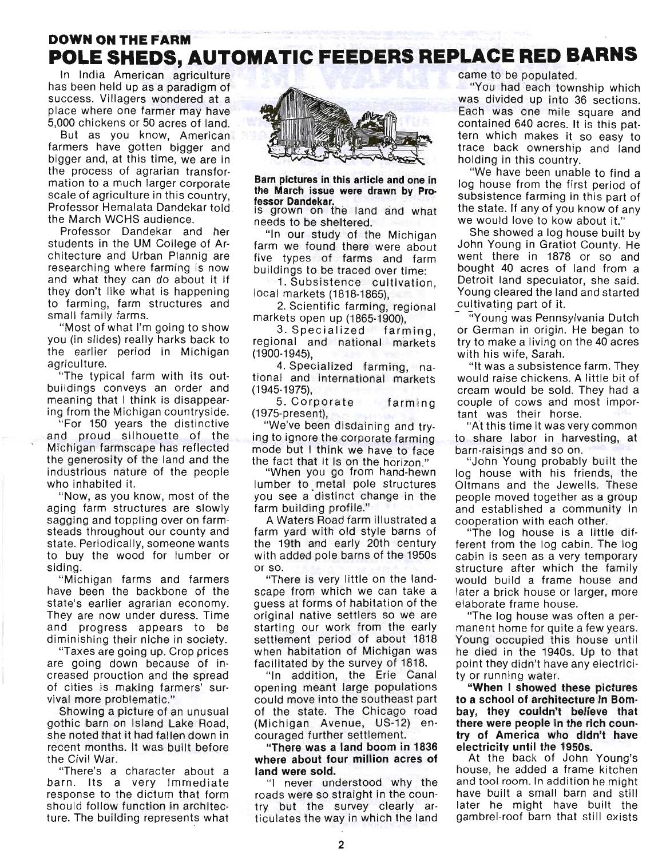# **DOWN ON THE FARM**  . **POLE SHEDS, AUTOMATIC FEEDERS REPLACE RED BARNS**

In India American agriculture has been held up as a paradigm of success. Villagers wondered at a place where one farmer may have 5,000 chickens or 50 acres of land.

But as you know, American farmers have gotten bigger and bigger and, at this time, we are in the process of agrarian transformation to a much larger corporate scale of agriculture in this country, Professor Hemalata Dandekar told . the March WCHS audience.

Professor Dandekar and her students in the UM College of Architecture and Urban Plannig are researching where farming is now and what they can do about it if they don't like what is happening to farming, farm structures and small family farms.

"Most of what I'm going to show ' you (in slides) really harks back to the earlier period in Michigan agriculture.

"The typical farm with its outbuildings conveys an order and meaning that I think is disappearing from the Michigan countryside.

"For 150 years the distinctive . and proud silhouette of the Michigan farmscape has reflected the generosity of the land and the industrious nature of the people who inhabited it.

"Now, as you know, most of the aging farm structures are slowly sagging and toppling over on farmsteads throughout our county and state. Periodically, someone wants to buy the wood for lumber or siding.

"Michigan farms and farmers have been the backbone of the state's earlier agrarian economy. They are now under duress. Time and progress appears to be diminishing their niche in society.

"Taxes are going up. Crop prices are going down because of increased prouction and the spread of cities is making farmers' survival more problematic."

Showing a picture of an unusual gothic barn on Island Lake Road, she noted that it had fallen down in recent months. It was built before the Civil War.

"There's a character about a barn. Its a very immediate response to the dictum that form should follow function in architecture. The building represents what



**Barn pictures in this article and one in the March issue were drawn by Pro· fessor Oandekar.**  is grown on the land and what

needs to be sheltered.

"In our study of the Michigan farm we found there were about five types of farms and farm buildings to be traced over time:

1. Subsistence cultivation, local markets (1818-1865),

2. Scientific farming, regional markets open up (1865·1900),

3. Specialized farming , regional and national markets (1900·1945),

4. Specialized farming, national and international markets (1945-1975),

5. Corporate farming (1975-present),

"We've been disdaining and trying to ignore the corporate farming mode but I think we have to face the fact that it is on the horizon."

"When you go from hand-hewn lumber to metal pole structures you see a distinct change in the farm building profile."

A Waters Road farm illustrated a farm yard with old style barns of the 19th and early 20th century with added pole barns of the 1950s or so.

"There is very little on the landscape from which we can take a . guess at forms of habitation of the original native settlers so we are starting our work from the early settlement period of about 1818 when habitation of Michigan was facilitated by the survey of 1818.

"In addition, the Erie Canal opening meant large populations could move into the southeast part of the state. The Chicago road (Michigan Avenue, US-12) en· couraged further settlement.

**"There was a land boom in 1836 where about four million acres of land were sold.** 

"I never understood why the roads were so straight in the country but the survey clearly articulates the way in which the land came to be populated.

"You had each township which was divided up into 36 sections. Each was one mile square and contained 640 acres. It is this pattern which makes it so easy to trace back ownership and land holding in this country.

"We have been unable to find a log house from the first period of subsistence farming in this part of the state. If any of you know of any we would love to kow about it."

She showed a log house built by John Young in Gratiot County. He went there in 1878 or so and bought 40 acres of land from a Detroit land speculator, she said. Young cleared the land and started cultivating part of it.

"Young was Pennsylvania Dutch or German in origin. He began to try to make a living on the 40 acres with his wife, Sarah.

"It was a subsistence farm. They would raise chickens. A little bit of cream would be sold. They had a couple of cows and most important was their horse.

"At this time it was very common to share labor in harvesting, at barn-raisinqs and so on.

"John Young probably built the log house with his friends, the Oltmans and the Jewells. These people moved together as a group and established a community in cooperation with each other.

"The log house is a little different from the log cabin. The log cabin is seen as a very temporary structure after which the family would build a frame house and later a brick house or larger, more elaborate frame house.

"The log house was often a permanent home for quite a few years. Young occupied this house until he died in the 1940s. Up to that point they didn't have any electricity or running water.

**"When I showed these pictures to a school of architecture in Bombay, they couldn't believe that there were people in the rich country of America who didn't have electricity until the 1950s.** 

At the back of John Young's house, he added a frame kitchen and tool room. In addition he might have built a small barn and still later he might have built the gambrel-roof barn that still exists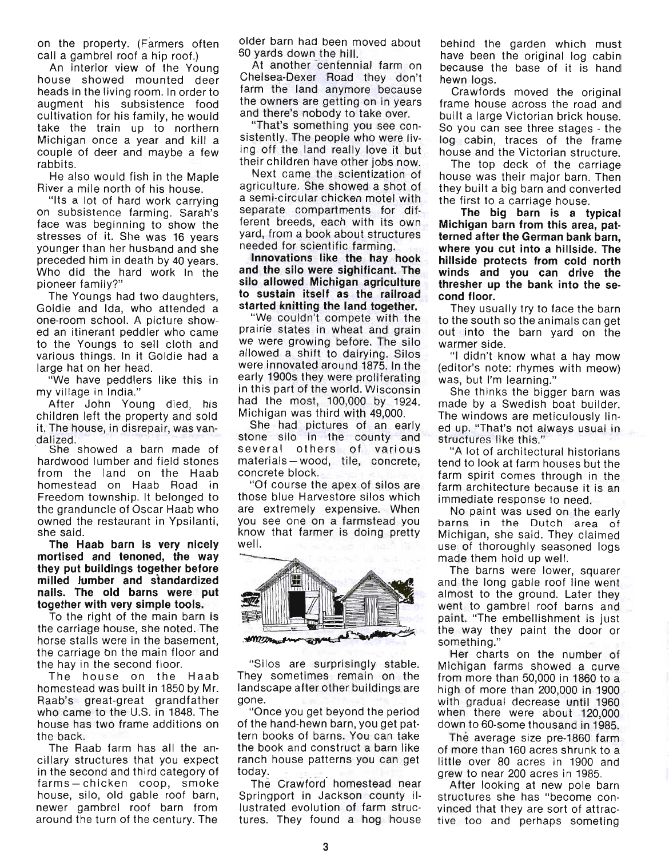on the property. (Farmers often call a gambrel roof a hip roof.)

An interior view of the Young house showed mounted deer heads in the living room. In order to augment his subsistence food cultivation for his family, he would take the train up to northern Michigan once a year and kill a couple of deer and maybe a few rabbits.

He also would fish in the Maple River a mile north of his house.

"Its a lot of hard work carrying on subsistence farming. Sarah's face was beginning to show the stresses of it. She was 16 years younger than her husband and she preceded him in death by 40 years. Who did the hard work in the pioneer family?"

The Youngs had two daughters, Goldie and Ida, who attended a one-room school. A picture showed an itinerant peddler who came to the Youngs to sell cloth and various things. In it Goldie had a large hat on her head.

"We have peddlers like this in my village in India."

After John Young died, his children left the property and sold it. The house, in disrepair, was vandalized.<br>She showed a barn made of

hardwood lumber and field stones from the land on the Haab homestead on Haab Road in Freedom township. It belonged to the granduncle of Oscar Haab who owned the restaurant in Ypsilanti, she said.

The Haab barn is very nicely mortised and tenoned, the way they put buildings together before milled lumber and standardized nails. The old barns were put together with very simple tools.

To the right of the main barn is the carriage house, she noted. The horse stalls were in the basement, the carriage On the main floor and the hay in the second floor.

The house on the Haab homestead was built in 1850 by Mr. Raab's great-great grandfather who came to the U.S. in 1848. The house has two frame additions on the back.

The Raab farm has all the ancillary structures that you expect in the second and third category of farms - chicken coop, smoke house, silo, old gable roof barn, newer gambrel roof barn from around the turn of the century. The

older barn had been moved about 60 yards down the hill.

At another centennial farm on Chelsea-Dexer Road they don't farm the land anymore because the owners are getting on in years and there's nobody to take over.

"That's something you see con-Sistently. The people who were living off the land really love it but their children have other jobs now.

Next came the scientization of agriculture. She showed a shot of a semi-circular chicken motel with separate compartments for different breeds, each with its own yard, from a book about structures needed for scientific farming.

Innovations like the hay hook and the silo were sighificant. The silo allowed Michigan agriculture to sustain itself as the railroad started knitting the land together.

"We couldn't compete with the prairie states in wheat and grain we were growing before. The silo allowed a shift to dairying. Silos were innovated around 1875. In the early 1900s they were proliferating in this part of the world. Wisconsin had the most, 100,000 by 1924. Michigan was third with 49,000.

She had pictures of an early stone silo in the county and several others of various materials - wood, tile, concrete, concrete block.

"Of course the apex of silos are those blue Harvestore silos which are extremely expensive. When you see one on a farmstead you know that farmer is dOing pretty well.



"Silos are surprisingly stable. They sometimes remain on the landscape after other buildings are gone.

"Once you get beyond the period of the hand-hewn barn, you get pattern books of barns. You can take the book and construct a barn like ranch house patterns you can get today.

The Crawford homestead near Springport in Jackson county illustrated evolution of farm structures. They found a hog house

behind the garden which must have been the original log cabin because the base of it is hand hewn logs.

Crawfords moved the original frame house across the road and built a large Victorian brick house. So you can see three stages - the  $log<sub>1</sub>$  cabin, traces of the frame house and the Victorian structure.

The top deck of the carriage house was their major barn. Then they built a big barn and converted the first to a carriage house.

The big barn is a typical Michigan barn from this area, pat· terned after the German bank barn, where you cut into a hillside. The hillside protects from cold north winds and you can drive the thresher up the bank into the se· cond floor.

They usually try to face the barn to the south so the animals can get out into the barn yard on the warmer side.

"I didn't know what a hay mow (editor's note: rhymes with meow) was, but I'm learning."

She thinks the bigger barn was made by a Swedish boat builder. The windows are meticulously lined up. "That's not always usual in structures like this."

"A lot of architectural historians tend to look at farm houses but the farm spirit comes through in the farm architecture because it is an immediate response to need.

No paint was used on the early barns in the Dutch area of Michigan, she said. They claimed use of thoroughly seasoned logs made them hold up well.

The barns were lower, squarer and the long gable roof line went almost to the ground. Later they went to gambrel roof barns and paint. "The embellishment is just the way they paint the door or something."

Her charts on the number of Michigan farms showed a curve from more than 50,000 in 1860 to a high of more than 200,000 in 1900 with gradual decrease until 1960 when there were about 120,000 down to 60-some thousand in 1985.

The average size pre-1860 farm of more than 160 acres shrunk to a little over 80 acres in 1900 and grew to near 200 acres in 1985.

After looking at new pole barn structures she has "become convinced that they are sort of attractive too and perhaps someting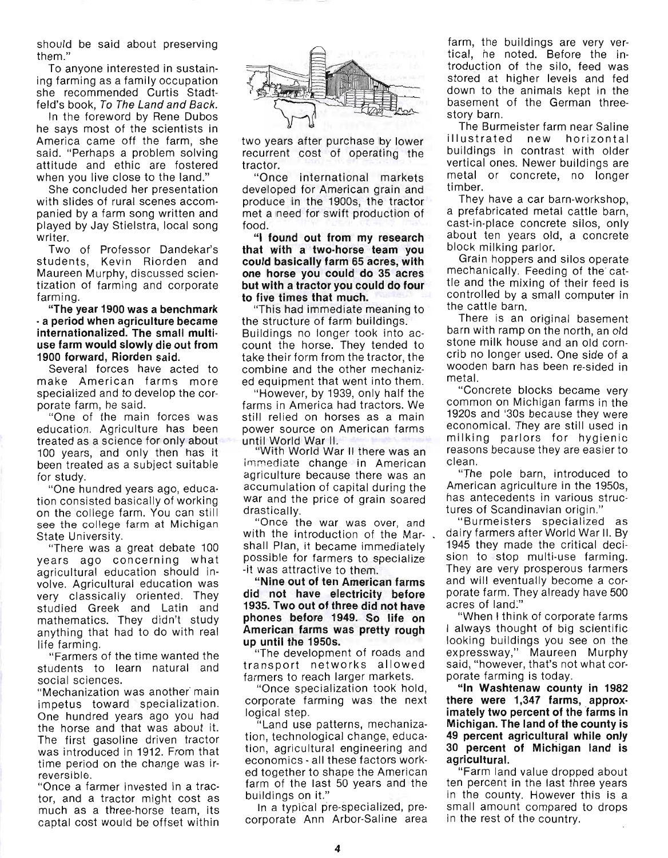should be said about preserving them."

To anyone interested in sustaining farming as a family occupation she recommended Curtis Stadtfeld's book, To The Land and Back.

In the foreword by Rene Dubos he says most of the scientists in America came off the farm, she said. "Perhaps a problem solving attitude and ethic are fostered when you live close to the land."

She concluded her presentation with slides of rural scenes accompanied by a farm song written and played by Jay Stielstra, local song writer.

Two of Professor Dandekar's students, Kevin Riorden and Maureen Murphy, discussed scientization of farming and corporate farming.

"The year 1900 was a benchmark - a period when agriculture became internationalized. The small multiuse farm would slowly die out from 1900 forward, Riorden said.

Several forces have acted to make American farms more specialized and to develop the corporate farm, he said.

"One of the main forces was education. Agriculture has been treated as a science for only about 100 years, and only then has it been treated as a subject suitable for study.

"One hundred years ago, education consisted basically of working on the college farm. You can still see the college farm at Michigan State University.

"There was a great debate 100 years ago concerning what agricultural education should involve. Agricultural education was very classically oriented. They studied Greek and Latin and mathematics. They didn't study anything that had to do with real life farming.

"Farmers of the time wanted the students to learn natural and social sciences.

" Mechanization was another' main impetus toward specialization. One hundred years ago you had the horse and that was about it. The first gasoline driven tractor was introduced in 1912. From that time period on the change was irreversible.

"Once a farmer invested in a tractor, and a tractor might cost as much as a three-horse team, its captal cost would be offset within



two years after purchase by lower recurrent cost of operating the tractor.

"Once international markets developed for American grain and produce in the 1900s, the tractor met a need for swift production of food.

"I found out from my research that with a two-horse team you could basically farm 65 acres, with one horse you could do 35 acres but with a tractor you could do four to five times that much.

"This had immediate meaning to the structure of farm buildings. Buildings no longer took into account the horse. They tended to take their form from the tractor, the combine and the other mechanized equipment that went into them.

"However, by 1939, only half the farms in America had tractors. We still relied on horses as a main power source on American farms until World War II. "With World War II there was an

immediate change in American agriculture because there was an accumulation of capital during the war and the price of grain soared drastically.

"Once the war was over, and with the introduction of the Mar- . shall Plan, it became immediately possible for farmers to specialize -it was attractive to them.

"Nine out of ten American farms did not have electricity before 1935. Two out of three did not have phones before 1949. So life on American farms was pretty rough up until the 1950s.

"The development of roads and transport networks allowed farmers to reach larger markets.

"Once specialization took hold, corporate farming was the next logical step.

"Land use patterns, mechanization, technological change, education, agricultural engineering and economics - all these factors worked together to shape the American farm of the last 50 years and the buildings on it."

In a typical pre-specialized, precorporate Ann Arbor-Saline area farm, the buildings are very vertical, he noted. Before the introduction of the silo, feed was stored at higher levels and fed down to the animals kept in the basement of the German threestory barn.

The Burmeister farm near Saline ill ustrated new horizontal buildings in contrast with older vertical ones. Newer buildings are metal or concrete, no longer timber.

They have a car barn-workshop, a prefabricated metal cattle barn, cast-in-place concrete silos, only about ten years old, a concrete block milking parlor.

Grain hoppers and silos operate mechanically. Feeding of the' cattle and the mixing of their feed is controlled by a small computer in the cattle barn.

There is an original basement barn with ramp on the north, an old stone milk house and an old corncrib no longer used. One side of a wooden barn has been re-sided in metal.

"Concrete blocks became very common on Michigan farms in the 1920s and '30s because they were economical. They are still used in milking parlors for hygienic reasons because they are easier to clean.

"The pole barn, introduced to American agriculture in the 1950s, has antecedents in various structures of Scandinavian origin."

"Burmeisters specialized as dairy farmers after World War II. By 1945 they made the critical decision to stop multi-use farming. They are very prosperous farmers and will eventually become a corporate farm. They already have 500 acres of land:"

, "When I think of corporate farms I always thought of big scientific looking buildings you see on the expressway," Maureen Murphy said, "however, that's not what corporate farming is today.

"In Washtenaw county in 1982 there were 1,347 farms, approx· imately two percent of the farms in Michigan. The land of the county is 49 percent agricultural while only 30 percent of Michigan land is agricultural.

"Farm land value dropped about ten percent in the last three years in the county. However this is a small amount compared to drops in the rest of the country.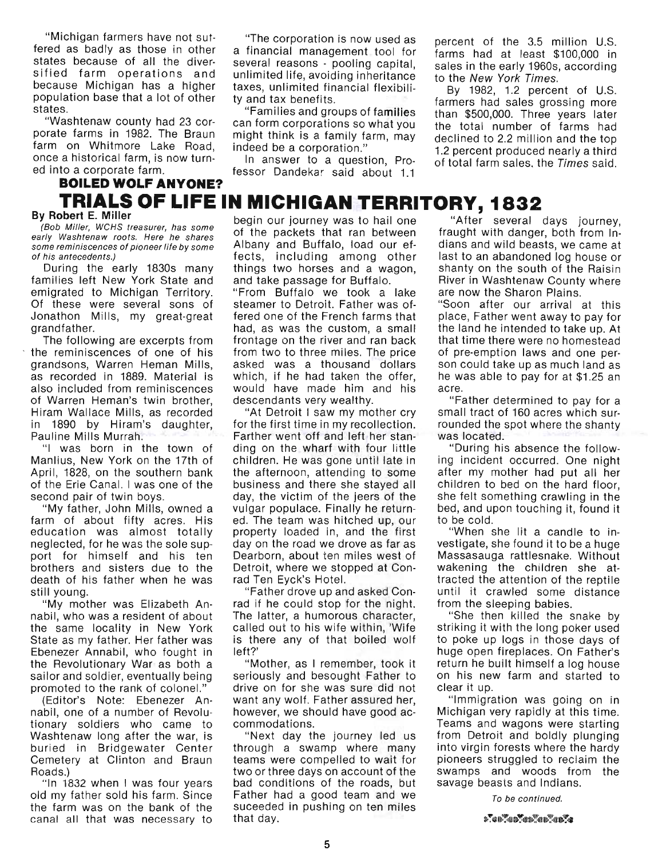"Michigan farmers have not sutfered as badly as those in other states because of all the diversified farm operations and because Michigan has a higher population base that a lot of other states.

"Washtenaw county had 23 corporate farms in 1982. The Braun farm on Whitmore Lake Road, once a historical farm, is now turned into a corporate farm.

**BOILED WOLF ANYONE?** 

#### "The corporation is now used as a financial management tool for several reasons - pooling capital, unlimited life, avoiding inheritance taxes, unlimited financial flexibility and tax benefits.

"Families and groups of families can form corporations so what you might think is a family farm, may indeed be a corporation."

In answer to a question, Pro· fessor Dandekar said about 1.1

percent of the 3.5 million U.S. farms had at least \$100,000 in sales in the early 1960s, according to the New York Times.

By 1982, 1.2 percent of U.S. farmers had sales grossing more than \$500,000. Three years later the total number of farms had declined to 2.2 million and the top 1.2 percent produced nearly a third of total farm sales, the Times said.

# **TRIALS OF LIFE IN MICHIGAN TERRITORY, 1832**<br>By Robert E. Miller

same reminiscences of pioneer life by some Albany and Buffalo, load our ef-

farm of about fifty acres. His ed. The team was hitched up, our to be cold. education was almost totally property loaded in, and the first "When she lit a candle to inneglected, for he was the sole sup- day on the road we drove as far as vestigate, she found it to be a huge port for himself and his ten Dearborn, about ten miles west of Massasauga rattlesnake. Without brothers and sisters due to the Detroit, where we stopped at Con- wakening the children she atdeath of his father when he was rad Ten Eyck's Hotel. **the example in the attention of the reptile** still young. "Father drove up and asked Con- until it crawled some distance

nabil, who was a resident of about The latter, a humorous character, "She then killed the snake by the same locality in New York called out to his wife within, 'Wife striking it with the long poker used State as my father. Her father was is there any of that boiled wolf to poke up logs in those days of Ebenezer Annabil, who fought in left?' huge open fireplaces. On Father's the Revolutionary War as both a "Mother, as I remember, took it return he built himself a log house sailor and soldier, eventually being seriously and besought Father to on his new farm and started to promoted to the rank of colonel." drive on for she was sure did not clear it up.

nabil, one of a number of Revolu- however, we should have good ac- Michigan very rapidly at this time. tionary soldiers who came to commodations. Teams and wagons were starting Washtenaw long after the war, is "Next day the journey led us from Detroit and boldly plunging buried in Bridgewater Center through a swamp where many into virgin forests where the hardy Cemetery at Clinton and Braun teams were compelled to wait for pioneers struggled to reclaim the Roads.) The swamps and woods from the swamps and woods from the swamps and woods from the

old my father sold his farm. Since Father had a good team and we  $T_0$  be continued. the farm was on the bank of the suceeded in pushing on ten miles canal all that was necessary to that day.

**By Robert E. Miller** begin our journey was to hail one "After several days journey, (Bob Miller, WCHS treasurer, has some for the packets that ran between fraught with danger, both from In-<br>early Washtenaw roots. Here he of his antecedents.) **fects**, including among other last to an abandoned log house or During the early 1830s many things two horses and a wagon, shanty on the south of the Raisin families left New York State and and take passage for Buffalo. Biver in Washtenaw County where

emigrated to Michigan Territory. "From Buffalo we took a lake are now the Sharon Plains. Of these were several sons of steamer to Detroit. Father was of- "Soon after our arrival at this Jonathon Mills, my great-great fered one of the French farms that place, Father went away to pay for grandfather. had, as was the custom, a small the land he intended to take up. At The following are excerpts from frontage on the river and ran back that time there were no homestead the reminiscences of one of his from two to three miles. The price of pre-emption laws and one pergrandsons, Warren Heman Mills, asked was a thousand dollars son could take up as much land as as recorded in 1889. Material is which, if he had taken the offer, he was able to pay for at \$1.25 an also included from reminiscences would have made him and his acre. of Warren Heman's twin brother, descendants very wealthy. "Father determined to pay for a

Hiram Wallace Mills, as recorded "At Detroit I saw my mother cry small tract of 160 acres which surin 1890 by Hiram's daughter, for the first time in my recollection. rounded the spot where the shanty Pauline Mills Murrah. Farther went off and left her stan- was located. "I was born in the town of ding on the wharf with four little "During his absence the follow-Manlius, New York on the 17th of children. He was gone until late in ing incident occurred. One night April, 1828, on the southern bank the afternoon, attending to some after my mother had put all her of the Erie Canal. I was one of the business and there she stayed all children to bed on the hard floor, second pair of twin boys. day, the victim of the jeers of the she felt something crawling in the " My father, John Mills, owned a vulgar populace. Finally he return- bed, and upon touching it, found it

" My mother was Elizabeth An- rad if he could stop for the night. from the sleeping babies.

(Editor's Note: Ebenezer An- want any wolf. Father assured her, "Immigration was going on in

"In 1832 when I was four years bad conditions of the roads, but savage beasts and Indians.

fraught with danger, both from In-<br>dians and wild beasts, we came at

 ${\color{blue}\mathbf{1}}^{\mathsf{T}}{\color{blue}\mathbf{4}}{\color{blue}\mathbf{1}}{\color{blue}\mathbf{1}}{\color{blue}\mathbf{1}}{\color{blue}\mathbf{1}}{\color{blue}\mathbf{1}}{\color{blue}\mathbf{1}}{\color{blue}\mathbf{1}}{\color{blue}\mathbf{1}}{\color{blue}\mathbf{1}}{\color{blue}\mathbf{1}}{\color{blue}\mathbf{1}}{\color{blue}\mathbf{1}}{\color{blue}\mathbf{1}}{\color{blue}\mathbf{1}}{\color{blue}\mathbf{1}}{\color{blue}\mathbf{1}}{\color{blue}\mathbf{1}}{\color{blue}\mathbf{1}}{\color{blue}\mathbf{1}}{\color{blue$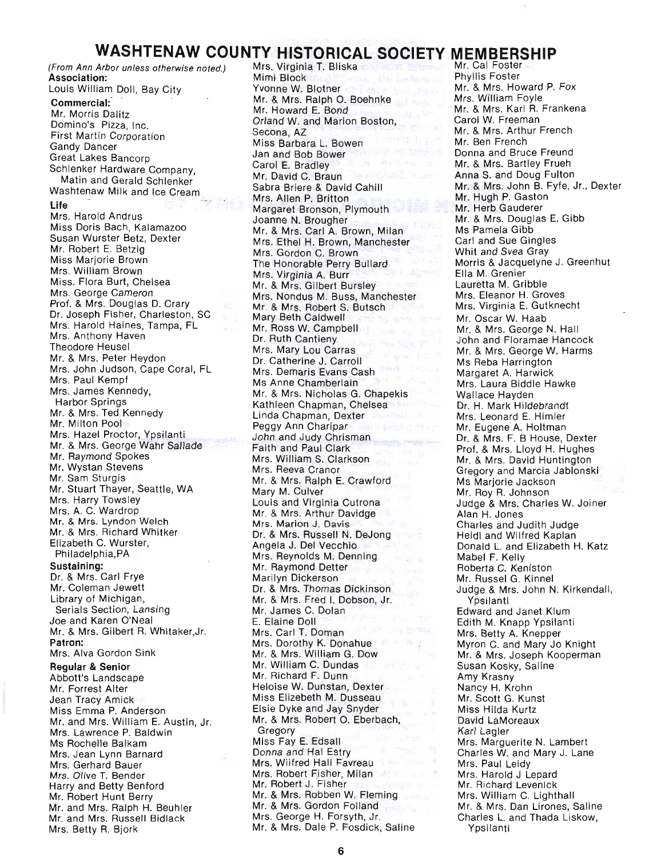# **WASHTENAW COUNTY HISTORICAL SOCIETY MEMBERSHIP**

(From Ann Arbor unless otherwise noted.) **Association:**  Louis William Doll, Bay City **Commercial:** - Mr. Morris Dalitz Domino's Pizza, Inc. First Martin Corporation Gandy Dancer Great Lakes Bancorp Schlenker Hardware Company, Matin and Gerald Schlenker Washtenaw Milk and Ice Cream **Life**  Mrs. Harold Andrus Miss Doris Bach, Kalamazoo Susan Wurster Betz, Dexter Mr. Robert E. Betzig Miss Marjorie Brown Mrs. William Brown Miss. Flora Burt, Chelsea Mrs. George Cameron Prof. & Mrs. Douglas D. Crary Dr. Joseph Fisher, Charleston, SC Mrs. Harold Haines, Tampa, FL Mrs. Anthony Haven Theodore Heusel Mr. & Mrs. Peter Heydon Mrs. John Judson, Cape Coral, FL Mrs. Paul Kempf Mrs. James Kennedy, Harbor Springs Mr. & Mrs. Ted Kennedy Mr. Milton Pool Mrs. Hazel Proctor, Ypsilanti Mr. & Mrs. George Wahr Sallade Mr. Raymond Spokes Mr. Wystan Stevens Mr. Sam Sturgis Mr. Stuart Thayer, Seattle, WA Mrs. Harry Towsley Mrs. A. C. Wardrop Mr. & Mrs. Lyndon Welch Mr. & Mrs. Richard Whitker Elizabeth C. Wurster, Philadelphia,PA **Sustaining:**  Dr. & Mrs. Carl Frye Mr. Coleman Jewett Library of Michigan, Serials Section, Lansing Joe and Karen O'Neal Mr. & Mrs. Gilbert R. Whitaker,Jr. **Patron:**  Mrs. Alva Gordon Sink **Regular & Senior**  Abbott's Landscape Mr. Forrest Alter Jean Tracy Amick Miss Emma P. Anderson Mr. and Mrs. William E. Austin, Jr. Mrs. Lawrence P. Baldwin Ms Rochelle Balkam Mrs. Jean Lynn Barnard Mrs. Gerhard Bauer Mrs. Olive T. Bender Harry and Betty Benford Mr. Robert Hunt Berry Mr. and Mrs. Ralph H. Beuhler Mr. and Mrs. Russell Bidlack Mrs. Betty R. Bjork

Mrs. Virginia T. Bliska Mimi Block Yvonne W. Blotner Mr. & Mrs. Ralph O. Boehnke Mr. Howard E. Bond Orland W. and Marion Boston, Secona, AZ Miss Barbara L. Bowen Jan and Bob Bower Carol E. Bradley Mr. David C. Braun Sabra Briere & David Cahill Mrs. Allen P. Britton Margaret Bronson, Plymouth Joanne N. Brougher Mr. & Mrs. Carl A. Brown, Milan Mrs. Ethel H. Brown, Manchester Mrs. Gordon C. Brown The Honorable Perry Bullard Mrs. Virginia A. Burr Mr. & Mrs. Gilbert Bursley Mrs. Nondus M. Buss, Manchester Mr. & Mrs. Robert S. Butsch Mary Beth Caldwell Mr. Ross W. Campbell Dr. Ruth Cantieny Mrs. Mary Lou Carras Dr. Catherine J. Carroll Mrs. Demaris Evans Cash Ms Anne Chamberlain Mr. & Mrs. Nicholas G. Chapekis Kathleen Chapman, Chelsea Linda Chapman, Dexter Peggy Ann Charipar John and Judy Chrisman Faith and Paul Clark Mrs. William S. Clarkson Mrs. Reeva Cranor Mr. & Mrs. Ralph E. Crawford Mary M. Culver Louis and Virginia Cutrona Mr. & Mrs. Arthur Davidge Mrs. Marion J. Davis Dr. & Mrs. Russell N. Dejong Angela J. Del Vecchio Mrs. Reynolds M. Denning Mr. Raymond Detter Marilyn Dickerson Dr. & Mrs. Thomas Dickinson Mr. & Mrs. Fred I. Dobson, Jr. Mr. James C. Dolan E. Elaine Doll Mrs. Carl T. Doman Mrs. Dorothy K. Donahue Mr. & Mrs. William G. Dow Mr. William C. Dundas Mr. Richard F. Dunn Heloise W. Dunstan, Dexter Miss Elizebeth M. Dusseau Elsie Dyke and Jay Snyder Mr. & Mrs. Robert O. Eberbach, **Gregory** Miss Fay E. Edsall Donna and Hal Estry Mrs. Wiifred Hall Favreau Mrs. Robert Fisher, Milan Mr. Robert J. Fisher Mr. & Mrs. Robben W. Fleming Mr. & Mrs. Gordon Folland Mrs. George H. Forsyth, Jr. Mr. & Mrs. Dale P. Fosdick, Saline

Mr. Cal Foster<br>Phyllis Foster Mr. & Mrs. Howard P. Fox Mrs. William Foyle . Mr. & Mrs. Karl R. Frankena Carol W. Freeman Mr. & Mrs. Arthur French Mr. Ben French Donna and Bruce Freund Mr. & Mrs. Bartley Frueh Anna S. and Doug Fulton Mr. & Mrs. John B. Fyfe, Jr., Dexter Mr. Hugh P. Gaston Mr. Herb Gauderer Mr. & Mrs. Douglas E. Gibb Ms Pamela Gibb Carl and Sue Gingles Whit and Svea Gray Morris & Jacquelyne J. Greenhut Ella M. Grenier Lauretta M. Gribble Mrs. Eleanor H. Groves Mrs. Virginia E. Gutknecht Mr. Oscar W. Haab Mr. & Mrs. George N. Hall John and Floramae Hancock Mr. & Mrs. George W. Harms Ms Reba Harrington Margaret A. Harwick Mrs. Laura Biddle Hawke Wallace Hayden Dr. H. Mark Hildebrandt Mrs. Leonard E. Himler Mr. Eugene A. Holtman Dr. & Mrs. F. B House, Dexter Prof. & Mrs. Lloyd H. Hughes Mr. & Mrs. David Huntington Gregory and Marcia Jablonski Ms Marjorie Jackson Mr. Roy R. Johnson Judge & Mrs. Charles W. Joiner Alan H. Jones Charles and Judith Judge Heidi and Wilfred Kaplan Donald L. and Elizabeth H. Katz Mabel F. Kelly Roberta C. Keniston Mr. Russel G. Kinnel Judge & Mrs. John N. Kirkendall, Ypsilanti Edward and Janet Klum Edith M. Knapp Ypsilanti Mrs. Betty A. Knepper Myron C. and Mary Jo Knight Mr. & Mrs. Joseph Kooperman Susan Kosky, Saline Amy Krasny Nancy H. Krohn Mr. Scott G. Kunst Miss Hilda Kurtz David LaMoreaux Karl Lagler Mrs. Marguerite N. Lambert Charles W. and Mary J. Lane Mrs. Paul Leidy Mrs. Harold J Lepard Mr. Richard Levenick Mrs. William C. Lighthall Mr. & Mrs. Dan Lirones, Saline Charles L. and Thada Liskow, Ypsilanti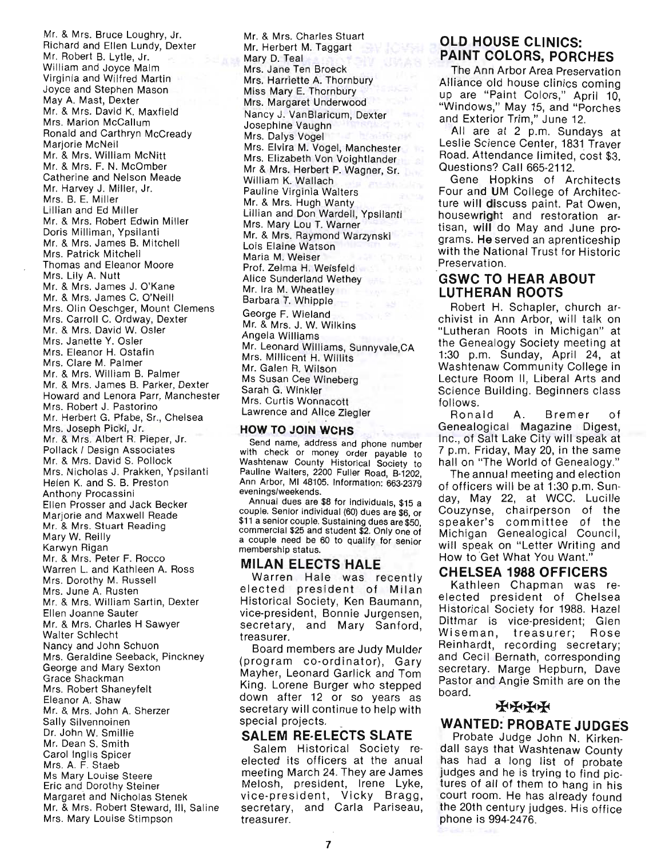Mr. & Mrs. Bruce Loughry, Jr. Richard and Ellen Lundy, Dexter Mr. Robert B. Lytle, Jr. William and Joyce Maim Virginia and Wilfred Martin Joyce and Stephen Mason May A. Mast, Dexter Mr. & Mrs. David K. Maxfield Mrs. Marion McCallum Ronald and Carthryn McCready Marjorie McNeil Mr. & Mrs. William McNitt Mr. & Mrs. F. N. McOmber Catherine and Nelson Meade Mr. Harvey J. Miller, Jr. Mrs. B. E. Miller Lillian and Ed Miller Mr. & Mrs. Robert Edwin Miller Doris Milliman, Ypsilanti Mr. & Mrs. James B. Mitchell Mrs. Patrick Mitchell Thomas and Eleanor Moore Mrs. Lily A. Nutt Mr. & Mrs. James J. O'Kane Mr. & Mrs. James C. O'Neill Mrs. Olin Oeschger, Mount Clemens Mrs. Carroll C. Ordway, Dexter Mr. & Mrs. David W. Osler Mrs. Janette Y. Osler Mrs. Eleanor H. Ostafin Mrs. Clare M. Palmer Mr. & Mrs. William B. Palmer Mr. & Mrs. James B. Parker, Dexter Howard and Lenora Parr, Manchester Mrs. Robert J. Pastorino Mr. Herbert G. Pfabe, Sr., Chelsea Mrs. Joseph Pickl, Jr. Mr. & Mrs. Albert R. Pieper, Jr. Pollack I Design Associates Mr. & Mrs. David S. Pollock Mrs. Nicholas J. Prakken, Ypsilanti Helen K. and S. B. Preston Anthony Procassini Ellen Prosser and Jack Becker Marjorie and Maxwell Reade Mr. & Mrs. Stuart Reading Mary W. Reilly Karwyn Rigan Mr. & Mrs. Peter F. Rocco Warren L. and Kathleen A. Ross Mrs. Dorothy M. Russell Mrs. June A. Rusten Mr. & Mrs. William Sartin, Dexter Ellen Joanne Sauter Mr. & Mrs. Charles H Sawyer Walter Schlecht Nancy and John Schuon Mrs. Geraldine Seeback, Pinckney George and Mary Sexton Grace Shackman Mrs. Robert Shaneyfelt Eleanor A. Shaw Mr. & Mrs. John A. Sherzer Sally Silvennoinen Dr. John W. Smillie Mr. Dean S. Smith Carol Inglis Spicer Mrs. A. F. Staeb Ms Mary Louise Steere Eric and Dorothy Steiner Margaret and Nicholas Stenek Mr. & Mrs. Robert Steward, III, Saline Mrs. Mary Louise Stimpson

Mr. & Mrs. Charles Stuart Mr. Herbert M. Taggart Mary D. Teal Mrs. Jane Ten Broeck Mrs. Harriette A. Thornbury Miss Mary E. Thornbury Mrs. Margaret Underwood Nancy J. VanBlaricum, Dexter Josephine Vaughn Mrs. Dalys Vogel Mrs. Elvira M. Vogel, Manchester Mrs. Elizabeth Von Voightlander Mr & Mrs. Herbert P. Wagner, Sr. William K. Wallach Pauline Virginia Walters Mr. & Mrs. Hugh Wanty Lillian and Don Wardell, Ypsilanti Mrs. Mary Lou T. Warner Mr. & Mrs. Raymond Warzynski Lois Elaine Watson Maria M. Weiser Prof. Zelma H. Weisfeld **Alice Sunderland Wethey** Mr. Ira M. Wheatley Barbara T. Whipple George F. Wieland Mr. & Mrs. J. W. Wilkins Angela Williams

Mr. Leonard Williams, Sunnyvale,CA Mrs. Millicent H. Willits Mr. Galen R. Wilson Ms Susan Cee Wineberg Sarah G. Winkler Mrs. Curtis Wonnacott Lawrence and Alice Ziegler

#### **HOW TO JOIN WCHS**

Send name, address and phone number with check or money order payable to Washtenaw County Historical Society to Pauline Walters, 2200 Fuller Road, 8-1202, Ann Arbor, MI 48105. Information: 663-2379 evenings/weekends.

Annual dues are \$8 for individuals, \$15 a couple. Senior individual (60) dues are \$6, or \$11 a senior couple. Sustaining dues are \$50, commercial \$25 and student \$2. Only one of a couple need be 60 to qualify for senior membership status.

### **MILAN ELECTS HALE**

Warren Hale was recently elected president of Milan Historical Society, Ken Baumann, vice-president, Bonnie Jurgensen, secretary, and Mary Sanford, treasurer.

Board members are Judy Mulder (program co-ordinator), Gary Mayher, Leonard Garlick and Tom King. Lorene Burger who stepped down after 12 or so years as secretary will continue to help with special projects.

# **SALEM RE·ELECTS SLATE**

Salem Historical Society reelected its officers at the anual meeting March 24. They are James Melosh, president, Irene Lyke, vice-president, Vicky Bragg, secretary, and Carla Pariseau, treasurer.

# **OLD HOUSE CLINICS: PAINT COLORS, PORCHES**

The Ann Arbor Area Preservation Alliance old house clinics coming up are "Paint Colors," April 10, "Windows," May 15, and "Porches and Exterior Trim," June 12.

All are at 2 p.m. Sundays at Leslie Science Center, 1831 Traver Road. Attendance limited, cost \$3. Questions? Call 665-2112.

Gene Hopkins of Architects Four and **UM** College of Architecture will discuss paint. Pat Owen, housewright and restoration ar· tisan, will do May and June programs. He served an aprenticeship with the National Trust for Historic Preservation.

# **"GSWC TO HEAR ABOUT LUTHERAN ROOTS**

Robert H. Schapler, church archivist in Ann Arbor, will talk on "Lutheran Roots in Michigan" at the Genealogy Society meeting at 1:30 p.m. Sunday, April 24, at Washtenaw Community College in Lecture Room II, Liberal Arts and Science Building. Beginners class follows.

Ronald A. Bremer of Genealogical Magazine Digest, Inc., of Salt Lake City will speak at 7 p.m. Friday, May 20, in the same hall on "The World of Genealogy."

The annual meeting and election of officers will be at 1:30 p.m. Sunday, May 22, at WCC. Lucille Couzynse, chairperson of the speaker's committee of the Michigan Genealogical Council, will speak on "Letter Writing and How to Get What You Want.'

# **"CHELSEA 1988 OFFICERS**

Kathleen Chapman was reelected president of Chelsea Historical SOCiety for 1988. Hazel Dittmar is vice·president; Glen Wiseman, treasurer; Rose Reinhardt, recording secretary; and Cecil Bernath, corresponding secretary. Marge Hepburn, Dave Pastor and Angie Smith are on the board.

# **++++**

# **WANTED: PROBATE JUDGES**

Probate Judge John N. Kirken· dall says that Washtenaw County has had a long list of probate judges and he is trying to find pic· tures of all of them to hang in his court room. He has already found the 20th century judges. His office phone is 994-2476.